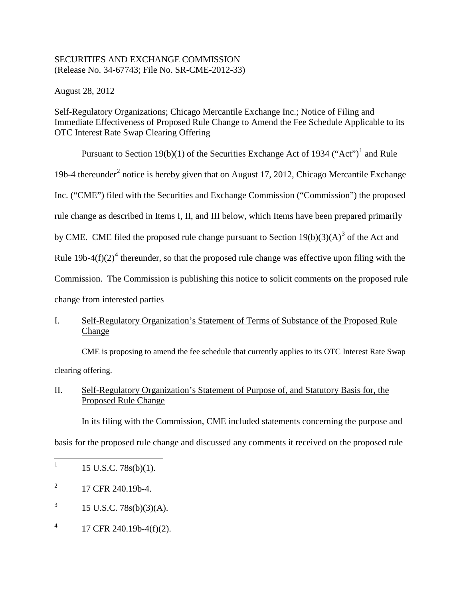# SECURITIES AND EXCHANGE COMMISSION (Release No. 34-67743; File No. SR-CME-2012-33)

August 28, 2012

Self-Regulatory Organizations; Chicago Mercantile Exchange Inc.; Notice of Filing and Immediate Effectiveness of Proposed Rule Change to Amend the Fee Schedule Applicable to its OTC Interest Rate Swap Clearing Offering

Pursuant to Section [1](#page-0-0)9(b)(1) of the Securities Exchange Act of 1934 ("Act")<sup>1</sup> and Rule 19b-4 thereunder<sup>[2](#page-0-1)</sup> notice is hereby given that on August 17, 2012, Chicago Mercantile Exchange Inc. ("CME") filed with the Securities and Exchange Commission ("Commission") the proposed rule change as described in Items I, II, and III below, which Items have been prepared primarily by CME. CME filed the proposed rule change pursuant to Section  $19(b)(3)(A)^3$  $19(b)(3)(A)^3$  $19(b)(3)(A)^3$  of the Act and Rule  $19b-4(f)(2)^4$  $19b-4(f)(2)^4$  $19b-4(f)(2)^4$  thereunder, so that the proposed rule change was effective upon filing with the Commission. The Commission is publishing this notice to solicit comments on the proposed rule change from interested parties

# I. Self-Regulatory Organization's Statement of Terms of Substance of the Proposed Rule Change

CME is proposing to amend the fee schedule that currently applies to its OTC Interest Rate Swap clearing offering.

# II. Self-Regulatory Organization's Statement of Purpose of, and Statutory Basis for, the Proposed Rule Change

In its filing with the Commission, CME included statements concerning the purpose and

basis for the proposed rule change and discussed any comments it received on the proposed rule

- <span id="page-0-2"></span> $3 \qquad 15 \text{ U.S.C. } 78 \text{s(b)}(3) \text{(A)}.$
- <span id="page-0-3"></span> $^{4}$  17 CFR 240.19b-4(f)(2).

<span id="page-0-0"></span> $1 \quad 15 \text{ U.S.C. } 78 \text{s(b)}(1).$ 

<span id="page-0-1"></span> $^{2}$  17 CFR 240.19b-4.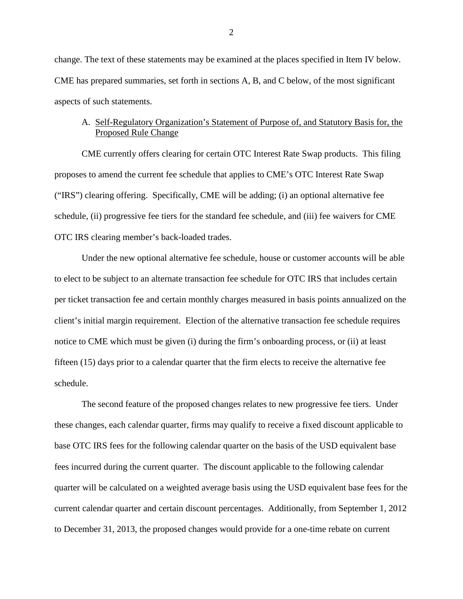change. The text of these statements may be examined at the places specified in Item IV below. CME has prepared summaries, set forth in sections A, B, and C below, of the most significant aspects of such statements.

## A. Self-Regulatory Organization's Statement of Purpose of, and Statutory Basis for, the Proposed Rule Change

CME currently offers clearing for certain OTC Interest Rate Swap products. This filing proposes to amend the current fee schedule that applies to CME's OTC Interest Rate Swap ("IRS") clearing offering. Specifically, CME will be adding; (i) an optional alternative fee schedule, (ii) progressive fee tiers for the standard fee schedule, and (iii) fee waivers for CME OTC IRS clearing member's back-loaded trades.

Under the new optional alternative fee schedule, house or customer accounts will be able to elect to be subject to an alternate transaction fee schedule for OTC IRS that includes certain per ticket transaction fee and certain monthly charges measured in basis points annualized on the client's initial margin requirement. Election of the alternative transaction fee schedule requires notice to CME which must be given (i) during the firm's onboarding process, or (ii) at least fifteen (15) days prior to a calendar quarter that the firm elects to receive the alternative fee schedule.

The second feature of the proposed changes relates to new progressive fee tiers. Under these changes, each calendar quarter, firms may qualify to receive a fixed discount applicable to base OTC IRS fees for the following calendar quarter on the basis of the USD equivalent base fees incurred during the current quarter. The discount applicable to the following calendar quarter will be calculated on a weighted average basis using the USD equivalent base fees for the current calendar quarter and certain discount percentages. Additionally, from September 1, 2012 to December 31, 2013, the proposed changes would provide for a one-time rebate on current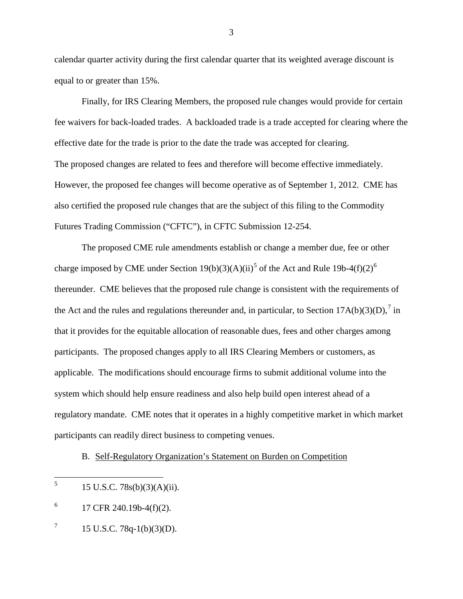calendar quarter activity during the first calendar quarter that its weighted average discount is equal to or greater than 15%.

Finally, for IRS Clearing Members, the proposed rule changes would provide for certain fee waivers for back-loaded trades. A backloaded trade is a trade accepted for clearing where the effective date for the trade is prior to the date the trade was accepted for clearing. The proposed changes are related to fees and therefore will become effective immediately. However, the proposed fee changes will become operative as of September 1, 2012. CME has also certified the proposed rule changes that are the subject of this filing to the Commodity Futures Trading Commission ("CFTC"), in CFTC Submission 12-254.

The proposed CME rule amendments establish or change a member due, fee or other charge imposed by CME under Section 19(b)(3)(A)(ii)<sup>[5](#page-2-0)</sup> of the Act and Rule 19b-4(f)(2)<sup>[6](#page-2-1)</sup> thereunder. CME believes that the proposed rule change is consistent with the requirements of the Act and the rules and regulations thereunder and, in particular, to Section  $17A(b)(3)(D)$  $17A(b)(3)(D)$  $17A(b)(3)(D)$ ,<sup>7</sup> in that it provides for the equitable allocation of reasonable dues, fees and other charges among participants. The proposed changes apply to all IRS Clearing Members or customers, as applicable. The modifications should encourage firms to submit additional volume into the system which should help ensure readiness and also help build open interest ahead of a regulatory mandate. CME notes that it operates in a highly competitive market in which market participants can readily direct business to competing venues.

B. Self-Regulatory Organization's Statement on Burden on Competition

3

<span id="page-2-0"></span> $^{5}$  15 U.S.C. 78s(b)(3)(A)(ii).

<span id="page-2-1"></span> $^{6}$  17 CFR 240.19b-4(f)(2).

<span id="page-2-2"></span> $7 \qquad 15 \text{ U.S.C. } 78q-1(b)(3)(D).$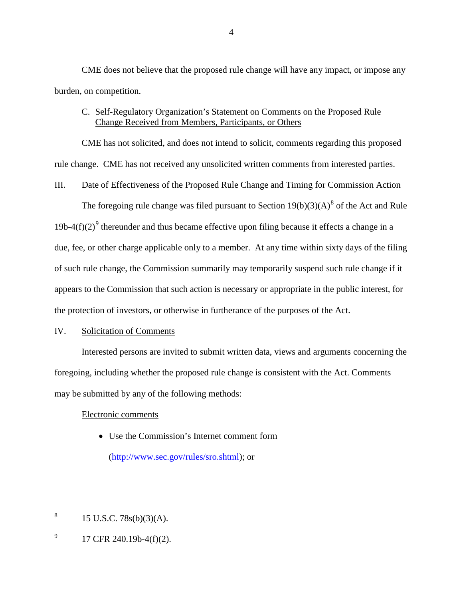CME does not believe that the proposed rule change will have any impact, or impose any burden, on competition.

# C. Self-Regulatory Organization's Statement on Comments on the Proposed Rule Change Received from Members, Participants, or Others

CME has not solicited, and does not intend to solicit, comments regarding this proposed rule change. CME has not received any unsolicited written comments from interested parties.

# III. Date of Effectiveness of the Proposed Rule Change and Timing for Commission Action

The foregoing rule change was filed pursuant to Section  $19(b)(3)(A)^8$  $19(b)(3)(A)^8$  of the Act and Rule 1[9](#page-3-1)b-4(f)(2)<sup>9</sup> thereunder and thus became effective upon filing because it effects a change in a due, fee, or other charge applicable only to a member. At any time within sixty days of the filing of such rule change, the Commission summarily may temporarily suspend such rule change if it appears to the Commission that such action is necessary or appropriate in the public interest, for the protection of investors, or otherwise in furtherance of the purposes of the Act.

## IV. Solicitation of Comments

Interested persons are invited to submit written data, views and arguments concerning the foregoing, including whether the proposed rule change is consistent with the Act. Comments may be submitted by any of the following methods:

## Electronic comments

• Use the Commission's Internet comment form

[\(http://www.sec.gov/rules/sro.shtml\)](http://www.sec.gov/rules/sro.shtml); or

<span id="page-3-0"></span> $8 \t15$  U.S.C. 78s(b)(3)(A).

<span id="page-3-1"></span> $^{9}$  17 CFR 240.19b-4(f)(2).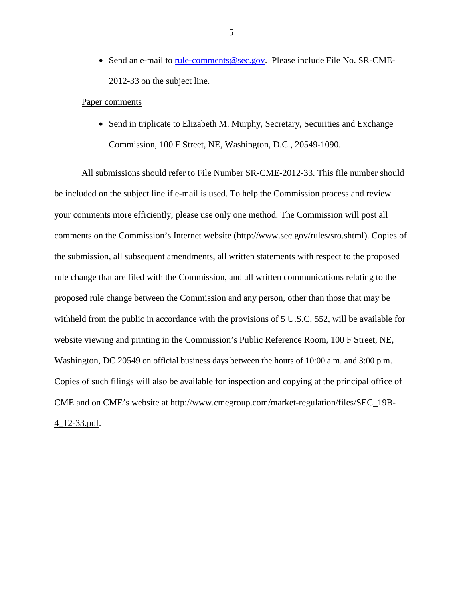• Send an e-mail to <u>rule-comments@sec.gov</u>. Please include File No. SR-CME-2012-33 on the subject line.

#### Paper comments

• Send in triplicate to Elizabeth M. Murphy, Secretary, Securities and Exchange Commission, 100 F Street, NE, Washington, D.C., 20549-1090.

All submissions should refer to File Number SR-CME-2012-33. This file number should be included on the subject line if e-mail is used. To help the Commission process and review your comments more efficiently, please use only one method. The Commission will post all comments on the Commission's Internet website (http://www.sec.gov/rules/sro.shtml). Copies of the submission, all subsequent amendments, all written statements with respect to the proposed rule change that are filed with the Commission, and all written communications relating to the proposed rule change between the Commission and any person, other than those that may be withheld from the public in accordance with the provisions of 5 U.S.C. 552, will be available for website viewing and printing in the Commission's Public Reference Room, 100 F Street, NE, Washington, DC 20549 on official business days between the hours of 10:00 a.m. and 3:00 p.m. Copies of such filings will also be available for inspection and copying at the principal office of CME and on CME's website at http://www.cmegroup.com/market-regulation/files/SEC\_19B-4\_12-33.pdf.